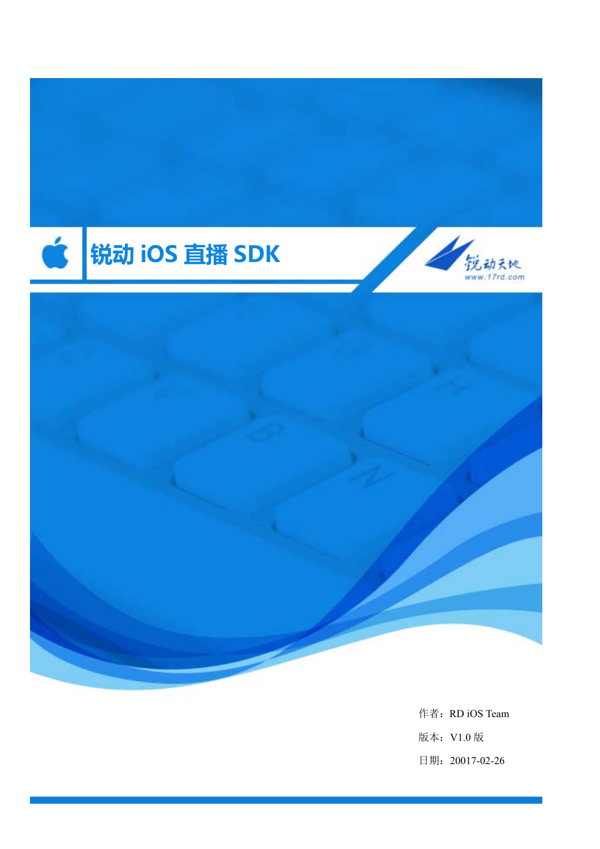

作者: RD iOS Team 版本:V1.0 版 日期:20017-02-26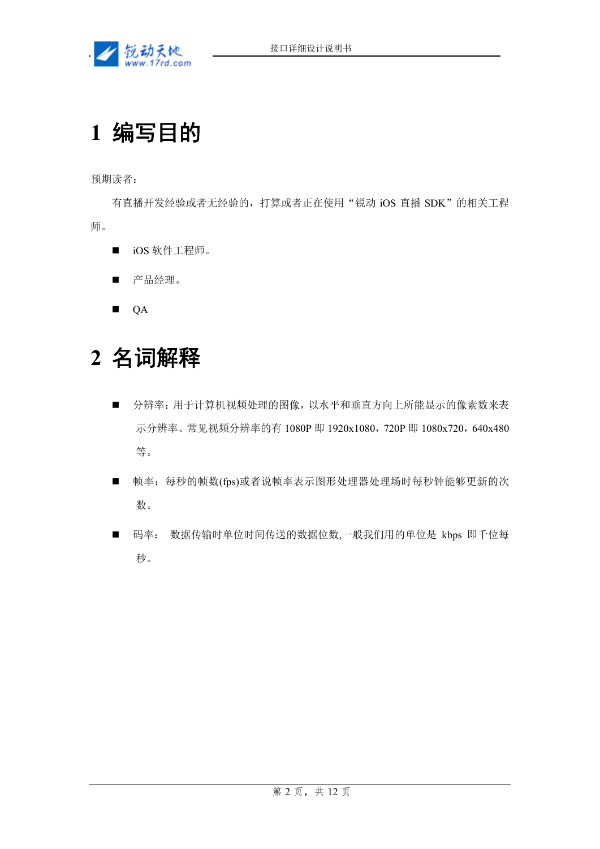

# **1** 编写目的

预期读者:

有直播开发经验或者无经验的,打算或者正在使用"锐动 iOS 直播 SDK"的相关工程 师。

- iOS 软件工程师。
- 产品经理。

**QA** 

# **2** 名词解释

- 分辨率: 用于计算机视频处理的图像, 以水平和垂直方向上所能显示的像素数来表 示分辨率。常见视频分辨率的有 1080P 即 1920x1080, 720P 即 1080x720, 640x480 等。
- 帧率: 每秒的帧数(fps)或者说帧率表示图形处理器处理场时每秒钟能够更新的次 数。
- 码率: 数据传输时单位时间传送的数据位数,一般我们用的单位是 kbps 即千位每 秒。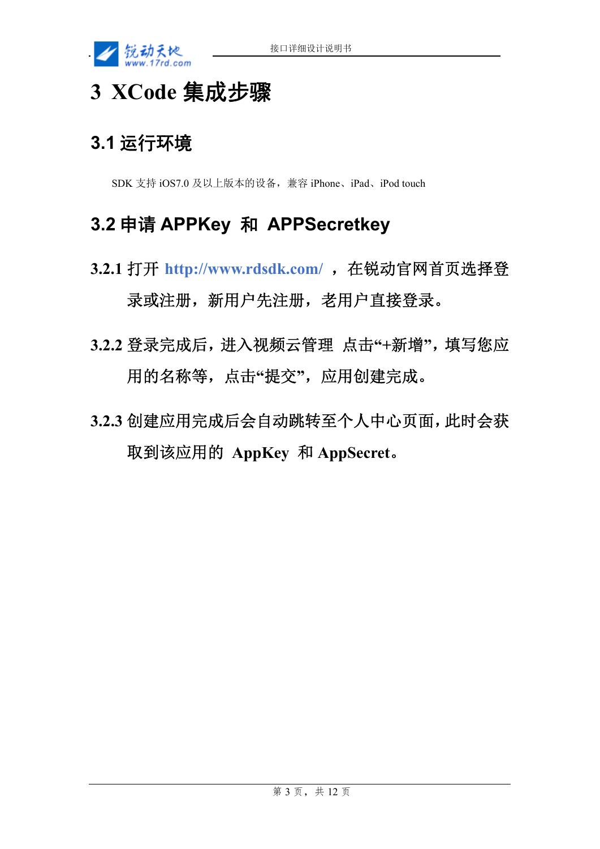

# **3 XCode** 集成步骤

## **3.1** 运行环境

SDK 支持 iOS7.0 及以上版本的设备,兼容 iPhone、iPad、iPod touch

### **3.2** 申请 **APPKey** 和 **APPSecretkey**

- **3.2.1** 打开 **http://www.rdsdk.com/** ,在锐动官网首页选择登 录或注册,新用户先注册,老用户直接登录。
- **3.2.2** 登录完成后,进入视频云管理 点击**"+**新增**"**,填写您应 用的名称等,点击**"**提交**"**,应用创建完成。
- **3.2.3** 创建应用完成后会自动跳转至个人中心页面,此时会获 取到该应用的 **AppKey** 和 **AppSecret**。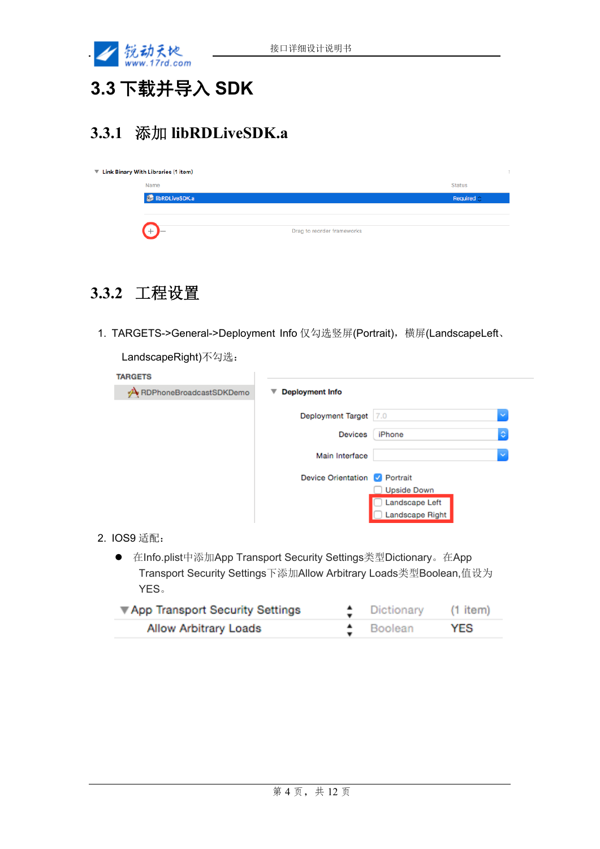

# **3.3** 下载并导入 **SDK**

### **3.3.1** 添加 **libRDLiveSDK.a**

| ▼ Link Binary With Libraries (1 item) |                            |                  |  |
|---------------------------------------|----------------------------|------------------|--|
| Name                                  |                            | Status           |  |
| libRDLiveSDK.a                        |                            | Required $\circ$ |  |
|                                       |                            |                  |  |
| $+$ )–                                | Drag to reorder frameworks |                  |  |

### **3.3.2** 工程设置

1. TARGETS->General->Deployment Info 仅勾选竖屏(Portrait),横屏(LandscapeLeft、

LandscapeRight)不勾选:

| <b>TARGETS</b>               |                                                         |
|------------------------------|---------------------------------------------------------|
| RDPhoneBroadcastSDKDemo<br>≁ | <b>Deployment Info</b><br>▼                             |
|                              | <b>Deployment Target</b><br>×<br>7.0                    |
|                              | $\Diamond$<br><b>Devices</b><br>iPhone                  |
|                              | Main Interface<br>$\checkmark$                          |
|                              | <b>Device Orientation</b><br>$\sqrt{ }$ Portrait        |
|                              | <b>Upside Down</b><br>Landscape Left<br>Landscape Right |
|                              |                                                         |

- 2. IOS9 适配:
	- 在Info.plist中添加App Transport Security Settings类型Dictionary。在App Transport Security Settings下添加Allow Arbitrary Loads类型Boolean,值设为 YES。

| ▼ App Transport Security Settings | $\uparrow$ Dictionary | (1 item) |
|-----------------------------------|-----------------------|----------|
| <b>Allow Arbitrary Loads</b>      | $\triangle$ Boolean   | YES      |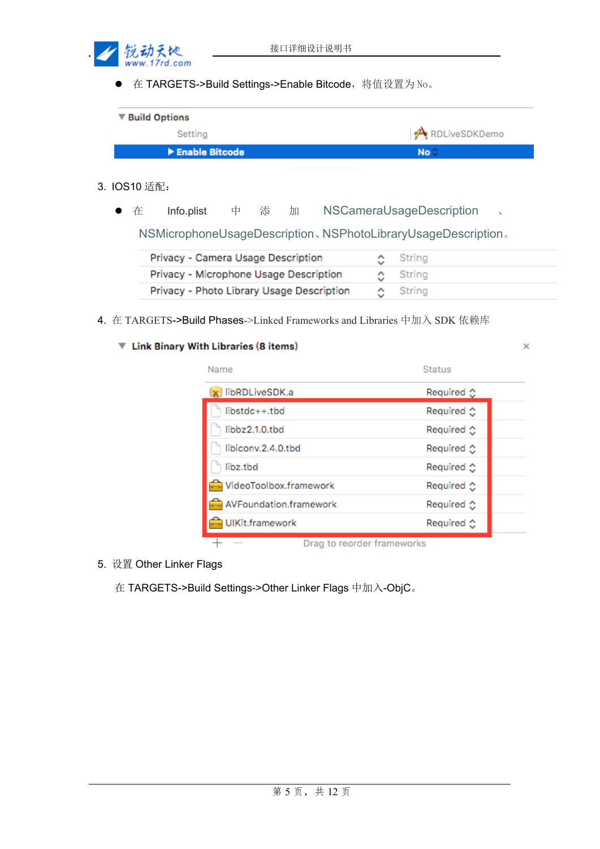

● 在 TARGETS->Build Settings->Enable Bitcode, 将值设置为 No。

| ▼ Build Options                      |                 |  |
|--------------------------------------|-----------------|--|
| Settina                              | RDLiveSDKDemo   |  |
| $\blacktriangleright$ Enable Bitcode | No <sup>o</sup> |  |

- 3. IOS10 适配:
	- 在 Info.plist 中 添 加 NSCameraUsageDescription 、

NSMicrophoneUsageDescription、NSPhotoLibraryUsageDescription。

| Privacy - Camera Usage Description        | ○ String       |
|-------------------------------------------|----------------|
| Privacy - Microphone Usage Description    | $\circ$ String |
| Privacy - Photo Library Usage Description | ⊙ String       |

4. 在 TARGETS->Build Phases->Linked Frameworks and Libraries 中加入 SDK 依赖库

#### ▼ Link Binary With Libraries (8 items)

| Name                       | <b>Status</b>                |
|----------------------------|------------------------------|
| libRDLiveSDK.a             | Required $\circlearrowright$ |
| $libstdc++.$ tbd           | Required ☆                   |
| libbz2.1.0.tbd             | Required $\circlearrowright$ |
| libiconv.2.4.0.tbd         | Required $\circ$             |
| libz.tbd                   | Required $\circlearrowright$ |
| VideoToolbox.framework     | Required $\circlearrowright$ |
| AVFoundation.framework     | Required $\hat{C}$           |
| UIKit.framework            | Required $\circlearrowright$ |
| Drag to reorder frameworks |                              |

5. 设置 Other Linker Flags

在 TARGETS->Build Settings->Other Linker Flags 中加入-ObjC。

×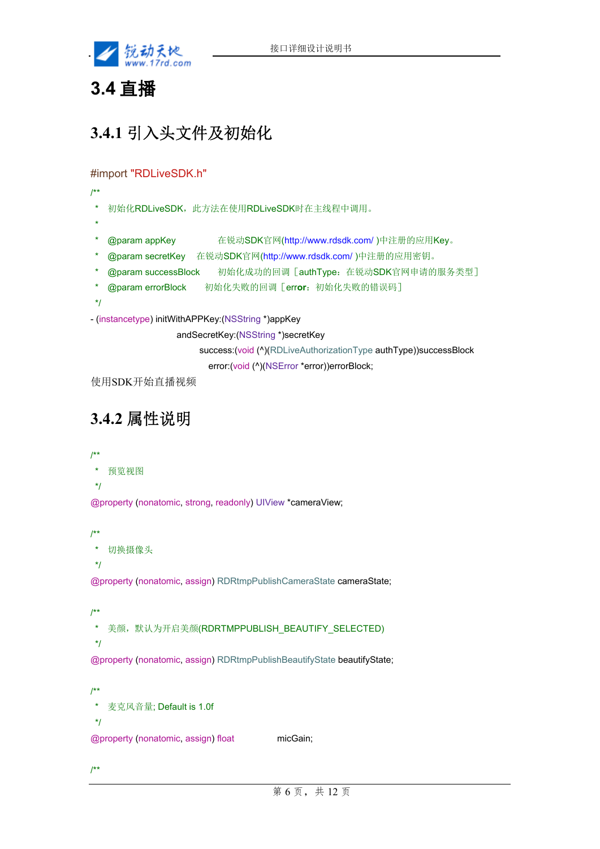

### **3.4** 直播

# **3.4.1** 引入头文件及初始化

#### #import "RDLiveSDK.h"

- /\*\*
	- 初始化RDLiveSDK,此方法在使用RDLiveSDK时在主线程中调用。
- \*
- \* @param appKey 在锐动SDK官网(http://www.rdsdk.com/ )中注册的应用Key。
- \* @param secretKey 在锐动SDK官网(http://www.rdsdk.com/ )中注册的应用密钥。
- \* @param successBlock 初始化成功的回调[authType:在锐动SDK官网申请的服务类型]
- \* @param errorBlock 初始化失败的回调[err**or**:初始化失败的错误码]
- \*/
- (instancetype) initWithAPPKey:(NSString \*)appKey
	- andSecretKey:(NSString \*)secretKey
		- success:(void (^)(RDLiveAuthorizationType authType))successBlock
			- error:(void (^)(NSError \*error))errorBlock;

使用SDK开始直播视频

# **3.4.2** 属性说明

/\*\*

\* 预览视图

\*/

@property (nonatomic, strong, readonly) UIView \*cameraView;

/\*\*

```
 * 切换摄像头
```
\*/

@property (nonatomic, assign) RDRtmpPublishCameraState cameraState;

/\*\*

\* 美颜,默认为开启美颜(RDRTMPPUBLISH\_BEAUTIFY\_SELECTED)

\*/

@property (nonatomic, assign) RDRtmpPublishBeautifyState beautifyState;

/\*\* \* 麦克风音量; Default is 1.0f \*/

@property (nonatomic, assign) float micGain;

/\*\*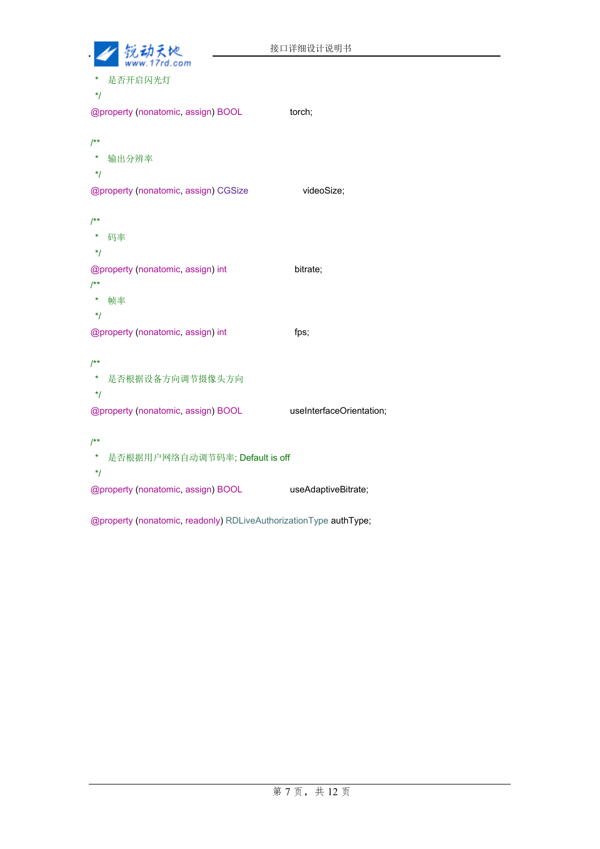| 锐动大炮                                       | 接口详细设计说明书                |
|--------------------------------------------|--------------------------|
| 是否开启闪光灯<br>$^{\star}$ /                    |                          |
| @property (nonatomic, assign) BOOL         | torch;                   |
| $^{**}$                                    |                          |
| *<br>输出分辨率<br>$^{\star}$ /                 |                          |
| @property (nonatomic, assign) CGSize       | videoSize;               |
| $1**$                                      |                          |
| *<br>码率                                    |                          |
| $^{\star}$ /                               |                          |
| @property (nonatomic, assign) int<br>$/**$ | bitrate;                 |
| *<br>帧率                                    |                          |
| $^{\star}$ /                               |                          |
| @property (nonatomic, assign) int          | fps;                     |
| $/^{\star \star}$                          |                          |
| *<br>是否根据设备方向调节摄像头方向                       |                          |
| $^{\star}$ /                               |                          |
| @property (nonatomic, assign) BOOL         | useInterfaceOrientation; |
| $^{**}$                                    |                          |
| *<br>是否根据用户网络自动调节码率; Default is off<br>*/  |                          |
| @property (nonatomic, assign) BOOL         | useAdaptiveBitrate;      |

@property (nonatomic, readonly) RDLiveAuthorizationType authType;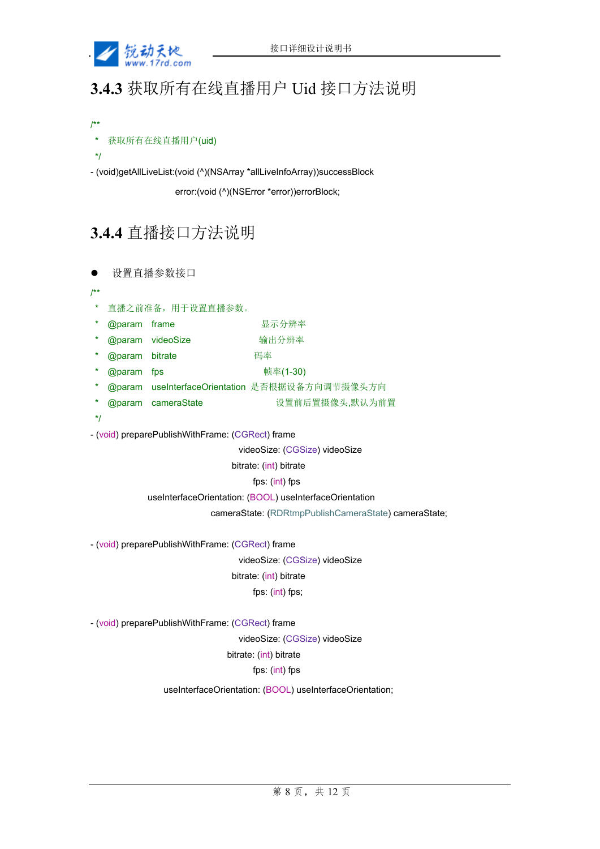

# **3.4.3** 获取所有在线直播用户 Uid 接口方法说明

/\*\*

```
获取所有在线直播用户(uid)
```
\*/

- (void)getAllLiveList:(void (^)(NSArray \*allLiveInfoArray))successBlock

error:(void (^)(NSError \*error))errorBlock;

### **3.4.4** 直播接口方法说明

设置直播参数接口

/\*\*

- \* 直播之前准备,用于设置直播参数。
- @param frame **Demanual Demanual Demanual Demanual Demanual Demanual Demanual Demanual Demanual Demanual Demanua**
- @param videoSize **the community** 输出分辨率
- **@param bitrate 2009** 码率
- \* @param fps 帧率(1-30)
- @param useInterfaceOrientation 是否根据设备方向调节摄像头方向
- @param cameraState 安置前后置摄像头,默认为前置

\*/

- (void) preparePublishWithFrame: (CGRect) frame

videoSize: (CGSize) videoSize

bitrate: (int) bitrate

fps: (int) fps

useInterfaceOrientation: (BOOL) useInterfaceOrientation

cameraState: (RDRtmpPublishCameraState) cameraState;

- (void) preparePublishWithFrame: (CGRect) frame

 videoSize: (CGSize) videoSize bitrate: (int) bitrate fps: (int) fps;

- (void) preparePublishWithFrame: (CGRect) frame

videoSize: (CGSize) videoSize

bitrate: (int) bitrate

fps: (int) fps

useInterfaceOrientation: (BOOL) useInterfaceOrientation;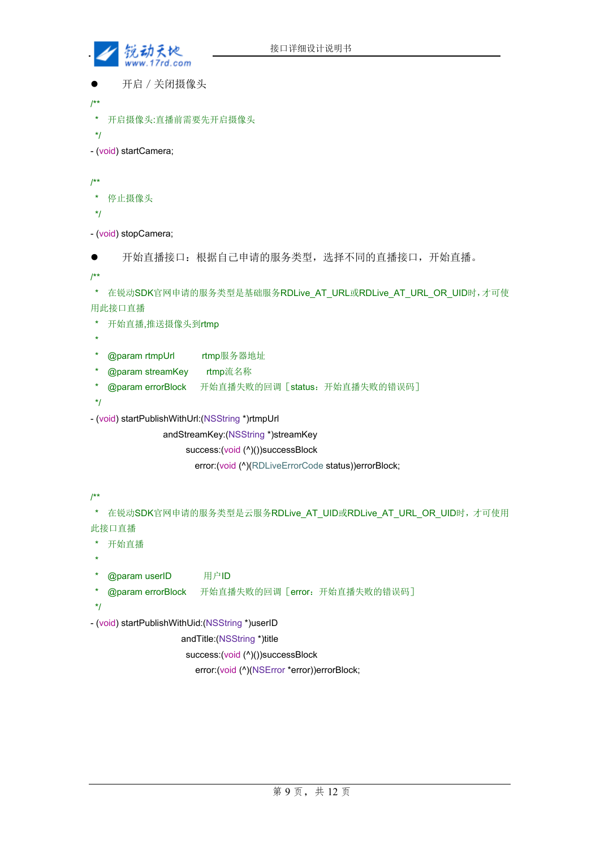

```
 开启/关闭摄像头
```

```
/**
```
\* 开启摄像头:直播前需要先开启摄像头

```
 */
```
- (void) startCamera;

/\*\*

```
 * 停止摄像头
```
\*/

- (void) stopCamera;



/\*\*

```
 * 在锐动SDK官网申请的服务类型是基础服务RDLive_AT_URL或RDLive_AT_URL_OR_UID时,才可使
用此接口直播
```

```
 * 开始直播,推送摄像头到rtmp
```
\*

- \* @param rtmpUrl rtmp服务器地址
- \* @param streamKey rtmp流名称
- \* @param errorBlock 开始直播失败的回调[status:开始直播失败的错误码]
- \*/
- (void) startPublishWithUrl:(NSString \*)rtmpUrl
	- andStreamKey:(NSString \*)streamKey

success:(void (^)())successBlock

error:(void (^)(RDLiveErrorCode status))errorBlock;

```
/**
```
\* 在锐动SDK官网申请的服务类型是云服务RDLive AT UID或RDLive AT URL OR UID时,才可使用 此接口直播

- \* 开始直播
- \* @param userID 用户ID
- \* @param errorBlock 开始直播失败的回调[error:开始直播失败的错误码]
- \*/

\*

- (void) startPublishWithUid:(NSString \*)userID

andTitle:(NSString \*)title

success:(void (^)())successBlock

error:(void (^)(NSError \*error))errorBlock;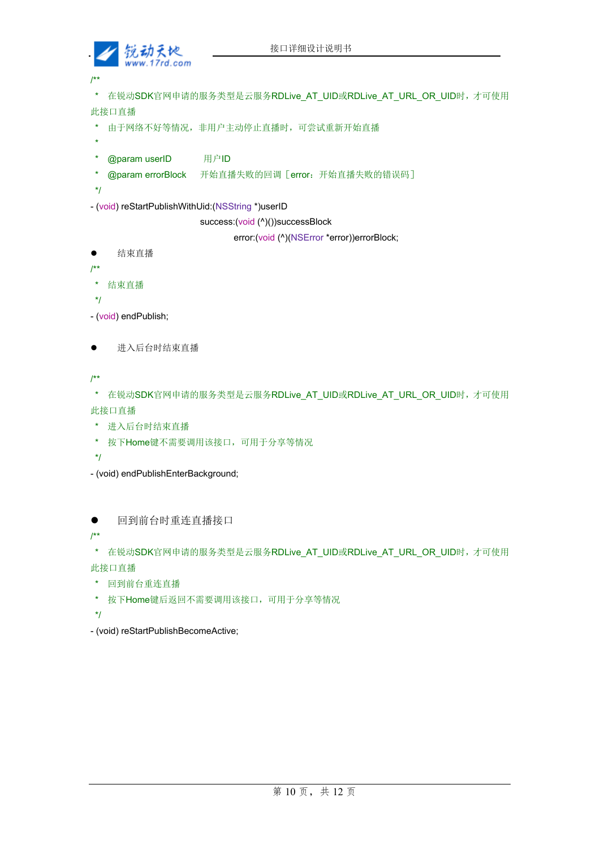

/\*\*

```
* 在锐动SDK官网申请的服务类型是云服务RDLive AT UID或RDLive AT URL OR UID时,才可使用
此接口直播
```
- \* 由于网络不好等情况,非用户主动停止直播时,可尝试重新开始直播
- \*
- \* @param userID 用户ID
- \* @param errorBlock 开始直播失败的回调[error:开始直播失败的错误码]
- \*/
- (void) reStartPublishWithUid:(NSString \*)userID

success:(void (^)())successBlock

error:(void (^)(NSError \*error))errorBlock;

```
 结束直播
```

```
/**
```
- \* 结束直播
- \*/
- (void) endPublish;
- 进入后台时结束直播

/\*\*

\* 在锐动SDK官网申请的服务类型是云服务RDLive AT UID或RDLive AT URL OR UID时,才可使用 此接口直播

- \* 进入后台时结束直播
- \* 按下Home键不需要调用该接口,可用于分享等情况
- \*/

- (void) endPublishEnterBackground;

回到前台时重连直播接口

/\*\*

\* 在锐动SDK官网申请的服务类型是云服务RDLive AT UID或RDLive AT URL OR UID时,才可使用 此接口直播

```
 * 回到前台重连直播
```
- \* 按下Home键后返回不需要调用该接口,可用于分享等情况
- \*/

- (void) reStartPublishBecomeActive;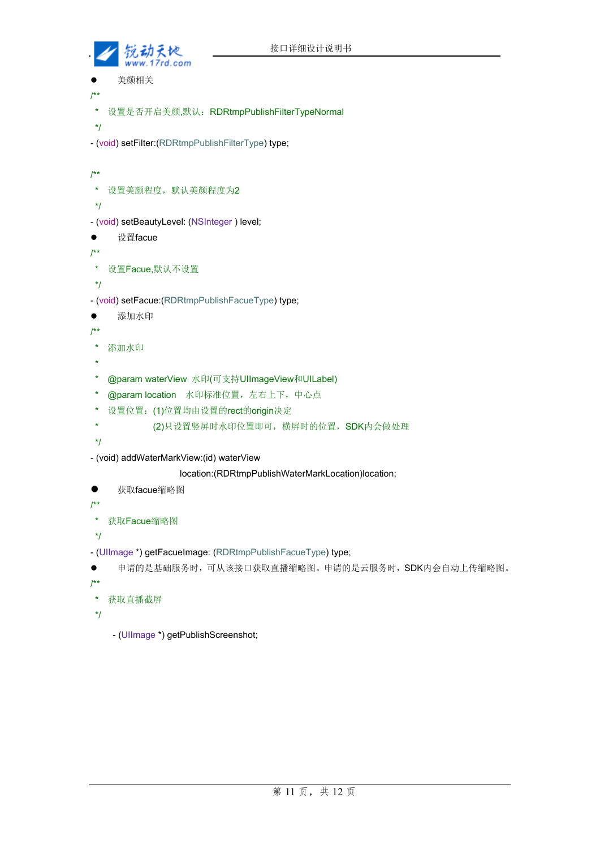

```
 美颜相关
/** 
 * 设置是否开启美颜,默认:RDRtmpPublishFilterTypeNormal 
 */ 
- (void) setFilter:(RDRtmpPublishFilterType) type; 
/** 
 * 设置美颜程度,默认美颜程度为2 
 */ 
- (void) setBeautyLevel: (NSInteger ) level; 
● 设置facue
/** 
 * 设置Facue,默认不设置
 */
- (void) setFacue:(RDRtmpPublishFacueType) type; 
● 添加水印
/** 
 * 添加水印
 * 
 * @param waterView 水印(可支持UIImageView和UILabel) 
  * @param location 水印标准位置,左右上下,中心点
 * 设置位置:(1)位置均由设置的rect的origin决定
  * (2)只设置竖屏时水印位置即可,横屏时的位置,SDK内会做处理
 */ 
- (void) addWaterMarkView:(id) waterView 
                 location:(RDRtmpPublishWaterMarkLocation)location;
● 获取facue缩略图
/** 
 * 获取Facue缩略图
 */ 
- (UIImage *) getFacueImage: (RDRtmpPublishFacueType) type; 
● 申请的是基础服务时,可从该接口获取直播缩略图。申请的是云服务时,SDK内会自动上传缩略图。
/** 
 * 获取直播截屏
 */
    - (UIImage *) getPublishScreenshot;
```